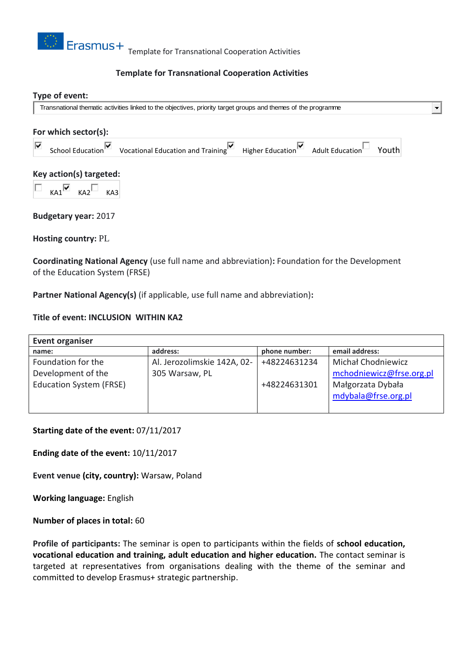

## **Template for Transnational Cooperation Activities**

#### **Type of event:**

Transnational thematic activities linked to the objectives, priority target groups and themes of the programme

# **For which sector(s):** School Education  $\blacksquare$  Vocational Education and Training  $\blacksquare$  Higher Education Adult Education Youth ⊽ **Key action(s) targeted:**  $KA1$ <sup>W</sup>  $KA2$ <sup>W</sup>  $KA3$

**Budgetary year:** 2017

**Hosting country:** PL

**Coordinating National Agency** (use full name and abbreviation)**:** Foundation for the Development of the Education System (FRSE)

**Partner National Agency(s)** (if applicable, use full name and abbreviation)**:**

#### **Title of event: INCLUSION WITHIN KA2**

| <b>Event organiser</b>         |                             |               |                          |
|--------------------------------|-----------------------------|---------------|--------------------------|
| name:                          | address:                    | phone number: | email address:           |
| Foundation for the             | Al. Jerozolimskie 142A, 02- | +48224631234  | Michał Chodniewicz       |
| Development of the             | 305 Warsaw, PL              |               | mchodniewicz@frse.org.pl |
| <b>Education System (FRSE)</b> |                             | +48224631301  | Małgorzata Dybała        |
|                                |                             |               | mdybala@frse.org.pl      |
|                                |                             |               |                          |

**Starting date of the event:** 07/11/2017

**Ending date of the event:** 10/11/2017

**Event venue (city, country):** Warsaw, Poland

**Working language:** English

**Number of places in total:** 60

**Profile of participants:** The seminar is open to participants within the fields of **school education, vocational education and training, adult education and higher education.** The contact seminar is targeted at representatives from organisations dealing with the theme of the seminar and committed to develop Erasmus+ strategic partnership.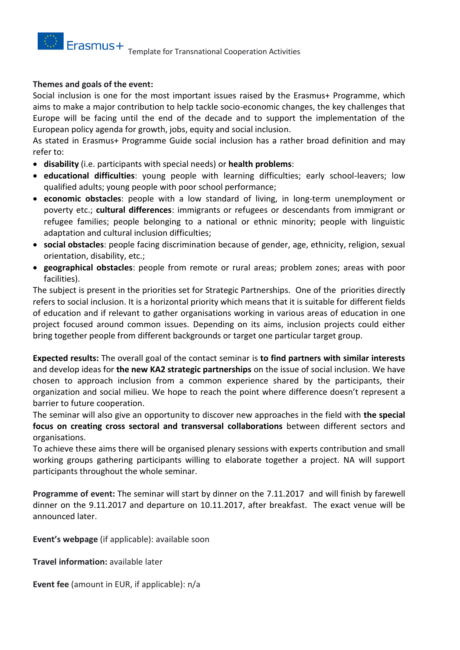### **Themes and goals of the event:**

Social inclusion is one for the most important issues raised by the Erasmus+ Programme, which aims to make a major contribution to help tackle socio-economic changes, the key challenges that Europe will be facing until the end of the decade and to support the implementation of the European policy agenda for growth, jobs, equity and social inclusion.

As stated in Erasmus+ Programme Guide social inclusion has a rather broad definition and may refer to:

- **disability** (i.e. participants with special needs) or **health problems**:
- **educational difficulties**: young people with learning difficulties; early school-leavers; low qualified adults; young people with poor school performance;
- **economic obstacles**: people with a low standard of living, in long-term unemployment or poverty etc.; **cultural differences**: immigrants or refugees or descendants from immigrant or refugee families; people belonging to a national or ethnic minority; people with linguistic adaptation and cultural inclusion difficulties;
- **social obstacles**: people facing discrimination because of gender, age, ethnicity, religion, sexual orientation, disability, etc.;
- **geographical obstacles**: people from remote or rural areas; problem zones; areas with poor facilities).

The subject is present in the priorities set for Strategic Partnerships. One of the priorities directly refers to social inclusion. It is a horizontal priority which means that it is suitable for different fields of education and if relevant to gather organisations working in various areas of education in one project focused around common issues. Depending on its aims, inclusion projects could either bring together people from different backgrounds or target one particular target group.

**Expected results:** The overall goal of the contact seminar is **to find partners with similar interests**  and develop ideas for **the new KA2 strategic partnerships** on the issue of social inclusion. We have chosen to approach inclusion from a common experience shared by the participants, their organization and social milieu. We hope to reach the point where difference doesn't represent a barrier to future cooperation.

The seminar will also give an opportunity to discover new approaches in the field with **the special focus on creating cross sectoral and transversal collaborations** between different sectors and organisations.

To achieve these aims there will be organised plenary sessions with experts contribution and small working groups gathering participants willing to elaborate together a project. NA will support participants throughout the whole seminar.

**Programme of event:** The seminar will start by dinner on the 7.11.2017 and will finish by farewell dinner on the 9.11.2017 and departure on 10.11.2017, after breakfast. The exact venue will be announced later.

**Event's webpage** (if applicable): available soon

**Travel information:** available later

**Event fee** (amount in EUR, if applicable): n/a